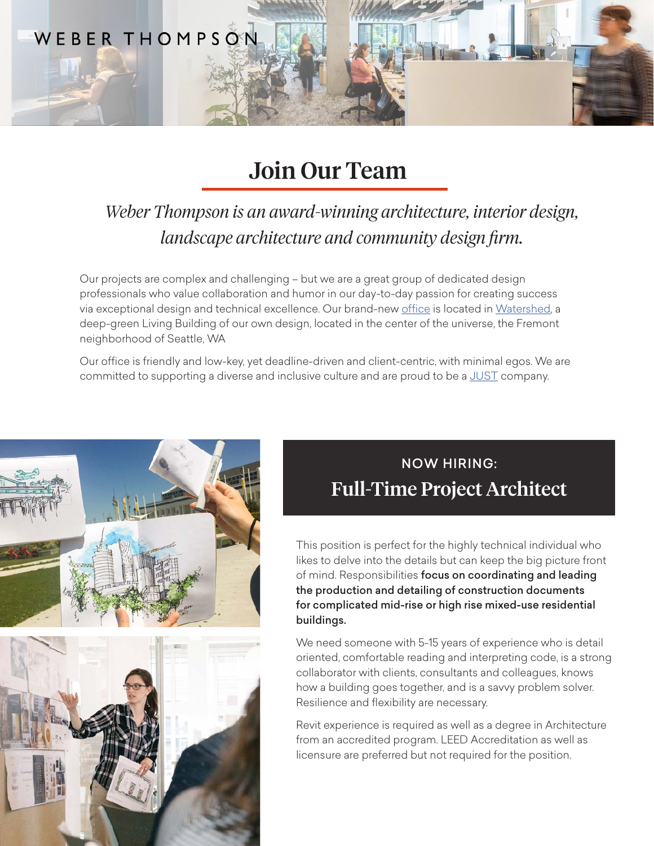

# Join Our Team

### *Weber Thompson is an award-winning architecture, interior design, landscape architecture and community design firm.*

Our projects are complex and challenging – but we are a great group of dedicated design professionals who value collaboration and humor in our day-to-day passion for creating success via exceptional design and technical excellence. Our brand-new [office](https://www.weberthompson.com/project/weber-thompson-offices-at-watershed/#anchor-interior-design) is located in [Watershed,](https://www.weberthompson.com/project/watershed/) a deep-green Living Building of our own design, located in the center of the universe, the Fremont neighborhood of Seattle, WA

Our office is friendly and low-key, yet deadline-driven and client-centric, with minimal egos. We are committed to supporting a diverse and inclusive culture and are proud to be a [JUST](https://living-future.org/just/) company.



# NOW HIRING: Full-Time Project Architect

This position is perfect for the highly technical individual who likes to delve into the details but can keep the big picture front of mind. Responsibilities focus on coordinating and leading the production and detailing of construction documents for complicated mid-rise or high rise mixed-use residential buildings.

We need someone with 5-15 years of experience who is detail oriented, comfortable reading and interpreting code, is a strong collaborator with clients, consultants and colleagues, knows how a building goes together, and is a savvy problem solver. Resilience and flexibility are necessary.

Revit experience is required as well as a degree in Architecture from an accredited program. LEED Accreditation as well as licensure are preferred but not required for the position.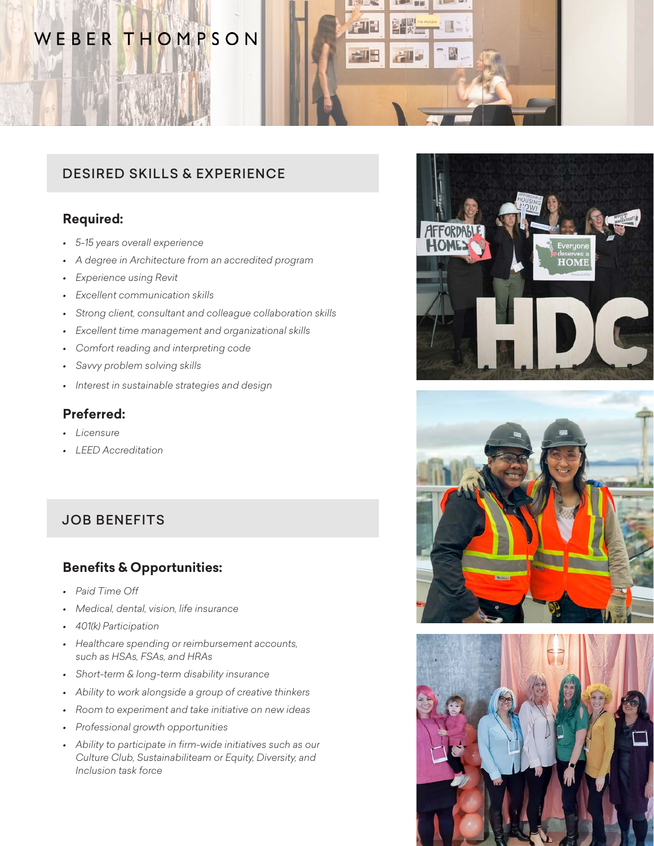### WEBER THOMPSON



### DESIRED SKILLS & EXPERIENCE

#### **Required:**

- *• 5-15 years overall experience*
- *• A degree in Architecture from an accredited program*
- *• Experience using Revit*
- *• Excellent communication skills*
- *• Strong client, consultant and colleague collaboration skills*
- *• Excellent time management and organizational skills*
- *• Comfort reading and interpreting code*
- *• Savvy problem solving skills*
- *• Interest in sustainable strategies and design*

#### **Preferred:**

- *• Licensure*
- *• LEED Accreditation*

### JOB BENEFITS

#### **Benefits & Opportunities:**

- *• Paid Time Off*
- *• Medical, dental, vision, life insurance*
- *• 401(k) Participation*
- *• Healthcare spending or reimbursement accounts, such as HSAs, FSAs, and HRAs*
- *• Short-term & long-term disability insurance*
- *• Ability to work alongside a group of creative thinkers*
- *• Room to experiment and take initiative on new ideas*
- *• Professional growth opportunities*
- *• Ability to participate in firm-wide initiatives such as our Culture Club, Sustainabiliteam or Equity, Diversity, and Inclusion task force*